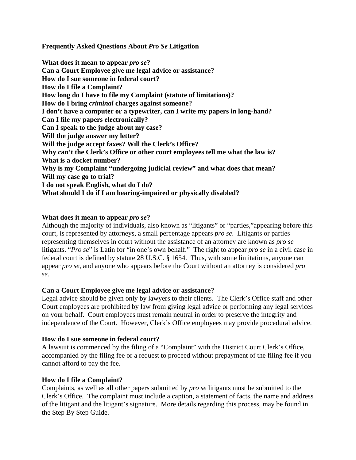**Frequently Asked Questions About** *Pro Se* **Litigation**

**What does it mean to appear** *pro se***? Can a Court Employee give me legal advice or assistance? How do I sue someone in federal court? How do I file a Complaint? How long do I have to file my Complaint (statute of limitations)? How do I bring** *criminal* **charges against someone? I don't have a computer or a typewriter, can I write my papers in long-hand? Can I file my papers electronically? Can I speak to the judge about my case? Will the judge answer my letter? Will the judge accept faxes? Will the Clerk's Office? Why can't the Clerk's Office or other court employees tell me what the law is? What is a docket number? Why is my Complaint "undergoing judicial review" and what does that mean? Will my case go to trial? I do not speak English, what do I do? What should I do if I am hearing-impaired or physically disabled?**

# **What does it mean to appear** *pro se***?**

Although the majority of individuals, also known as "litigants" or "parties,"appearing before this court, is represented by attorneys, a small percentage appears *pro se*. Litigants or parties representing themselves in court without the assistance of an attorney are known as *pro se* litigants. "*Pro se*" is Latin for "in one's own behalf." The right to appear *pro se* in a civil case in federal court is defined by statute 28 U.S.C. § 1654. Thus, with some limitations, anyone can appear *pro se*, and anyone who appears before the Court without an attorney is considered *pro se.*

# **Can a Court Employee give me legal advice or assistance?**

Legal advice should be given only by lawyers to their clients. The Clerk's Office staff and other Court employees are prohibited by law from giving legal advice or performing any legal services on your behalf. Court employees must remain neutral in order to preserve the integrity and independence of the Court. However, Clerk's Office employees may provide procedural advice.

# **How do I sue someone in federal court?**

A lawsuit is commenced by the filing of a "Complaint" with the District Court Clerk's Office, accompanied by the filing fee or a request to proceed without prepayment of the filing fee if you cannot afford to pay the fee.

# **How do I file a Complaint?**

Complaints, as well as all other papers submitted by *pro se* litigants must be submitted to the Clerk's Office. The complaint must include a caption, a statement of facts, the name and address of the litigant and the litigant's signature. More details regarding this process, may be found in the Step By Step Guide.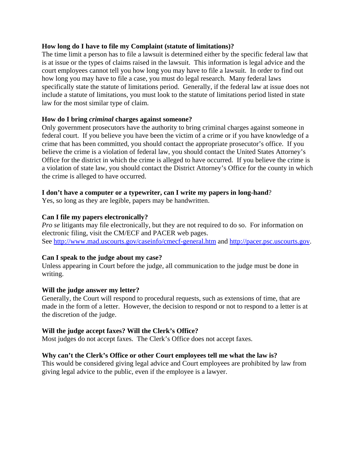### **How long do I have to file my Complaint (statute of limitations)?**

The time limit a person has to file a lawsuit is determined either by the specific federal law that is at issue or the types of claims raised in the lawsuit. This information is legal advice and the court employees cannot tell you how long you may have to file a lawsuit. In order to find out how long you may have to file a case, you must do legal research. Many federal laws specifically state the statute of limitations period. Generally, if the federal law at issue does not include a statute of limitations, you must look to the statute of limitations period listed in state law for the most similar type of claim.

# **How do I bring** *criminal* **charges against someone?**

Only government prosecutors have the authority to bring criminal charges against someone in federal court. If you believe you have been the victim of a crime or if you have knowledge of a crime that has been committed, you should contact the appropriate prosecutor's office. If you believe the crime is a violation of federal law, you should contact the United States Attorney's Office for the district in which the crime is alleged to have occurred. If you believe the crime is a violation of state law, you should contact the District Attorney's Office for the county in which the crime is alleged to have occurred.

### **I don't have a computer or a typewriter, can I write my papers in long-hand**?

Yes, so long as they are legible, papers may be handwritten.

### **Can I file my papers electronically?**

*Pro se* litigants may file electronically, but they are not required to do so. For information on electronic filing, visit the CM/ECF and PACER web pages. See http://www.mad.uscourts.gov/caseinfo/cmecf-general.htm and http://pacer.psc.uscourts.gov.

### **Can I speak to the judge about my case?**

Unless appearing in Court before the judge, all communication to the judge must be done in writing.

### **Will the judge answer my letter?**

Generally, the Court will respond to procedural requests, such as extensions of time, that are made in the form of a letter. However, the decision to respond or not to respond to a letter is at the discretion of the judge.

# **Will the judge accept faxes? Will the Clerk's Office?**

Most judges do not accept faxes. The Clerk's Office does not accept faxes.

# **Why can't the Clerk's Office or other Court employees tell me what the law is?**

This would be considered giving legal advice and Court employees are prohibited by law from giving legal advice to the public, even if the employee is a lawyer.